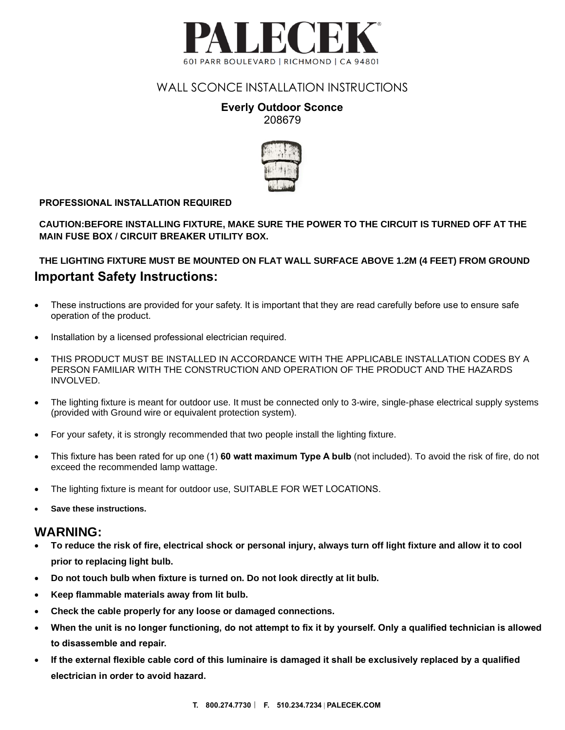

## WALL SCONCE INSTALLATION INSTRUCTIONS

### **Everly Outdoor Sconce** 208679



#### **PROFESSIONAL INSTALLATION REQUIRED**

**CAUTION:BEFORE INSTALLING FIXTURE, MAKE SURE THE POWER TO THE CIRCUIT IS TURNED OFF AT THE MAIN FUSE BOX / CIRCUIT BREAKER UTILITY BOX.**

### **Important Safety Instructions: THE LIGHTING FIXTURE MUST BE MOUNTED ON FLAT WALL SURFACE ABOVE 1.2M (4 FEET) FROM GROUND**

- These instructions are provided for your safety. It is important that they are read carefully before use to ensure safe rnese instructions are pr<br>operation of the product.
- Installation by a licensed professional electrician required.
- THIS PRODUCT MUST BE INSTALLED IN ACCORDANCE WITH THE APPLICABLE INSTALLATION CODES BY A PERSON FAMILIAR WITH THE CONSTRUCTION AND OPERATION OF THE PRODUCT AND THE HAZARDS INVOLVED.
- The lighting fixture is meant for outdoor use. It must be connected only to 3-wire, single-phase electrical supply systems (provided with Ground wire or equivalent protection system).
- For your safety, it is strongly recommended that two people install the lighting fixture.
- This fixture has been rated for up one (1) **60 watt maximum Type A bulb** (not included). To avoid the risk of fire, do not exceed the recommended lamp wattage.
- The lighting fixture is meant for outdoor use, SUITABLE FOR WET LOCATIONS.
- **Save these instructions.**

#### **WARNING:**

- **To reduce the risk of fire, electrical shock or personal injury, always turn off light fixture and allow it to cool prior to replacing light bulb.**
- **Do not touch bulb when fixture is turned on. Do not look directly at lit bulb.**
- **Keep flammable materials away from lit bulb.**
- **Check the cable properly for any loose or damaged connections.**
- **When the unit is no longer functioning, do not attempt to fix it by yourself. Only a qualified technician is allowed to disassemble and repair.**
- **If the external flexible cable cord of this luminaire is damaged it shall be exclusively replaced by a qualified electrician in order to avoid hazard.**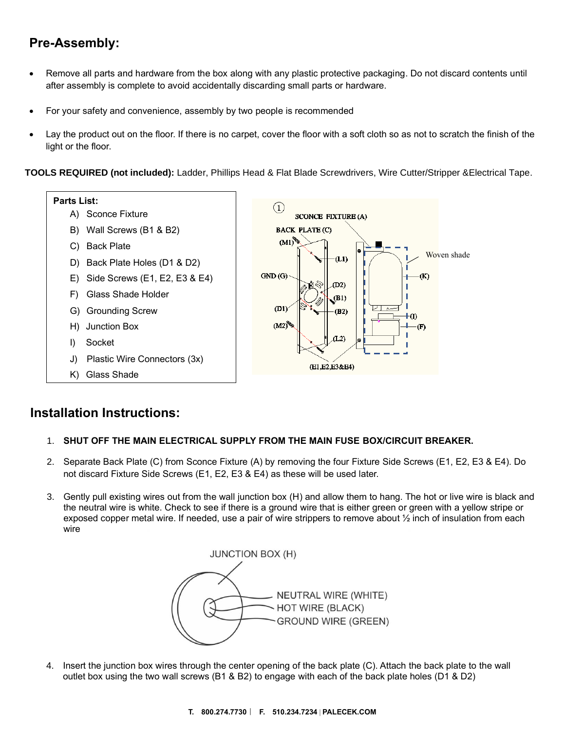# **Pre-Assembly:**

- Remove all parts and hardware from the box along with any plastic protective packaging. Do not discard contents until after assembly is complete to avoid accidentally discarding small parts or hardware.
- For your safety and convenience, assembly by two people is recommended
- Lay the product out on the floor. If there is no carpet, cover the floor with a soft cloth so as not to scratch the finish of the light or the floor.

**TOOLS REQUIRED (not included):** Ladder, Phillips Head & Flat Blade Screwdrivers, Wire Cutter/Stripper &Electrical Tape.



## **Installation Instructions:**

#### 1. **SHUT OFF THE MAIN ELECTRICAL SUPPLY FROM THE MAIN FUSE BOX/CIRCUIT BREAKER.**

- 2. Separate Back Plate (C) from Sconce Fixture (A) by removing the four Fixture Side Screws (E1, E2, E3 & E4). Do not discard Fixture Side Screws (E1, E2, E3 & E4) as these will be used later.
- 3. Gently pull existing wires out from the wall junction box (H) and allow them to hang. The hot or live wire is black and the neutral wire is white. Check to see if there is a ground wire that is either green or green with a yellow stripe or exposed copper metal wire. If needed, use a pair of wire strippers to remove about  $\frac{1}{2}$  inch of insulation from each wire



4. Insert the junction box wires through the center opening of the back plate (C). Attach the back plate to the wall outlet box using the two wall screws (B1 & B2) to engage with each of the back plate holes (D1 & D2)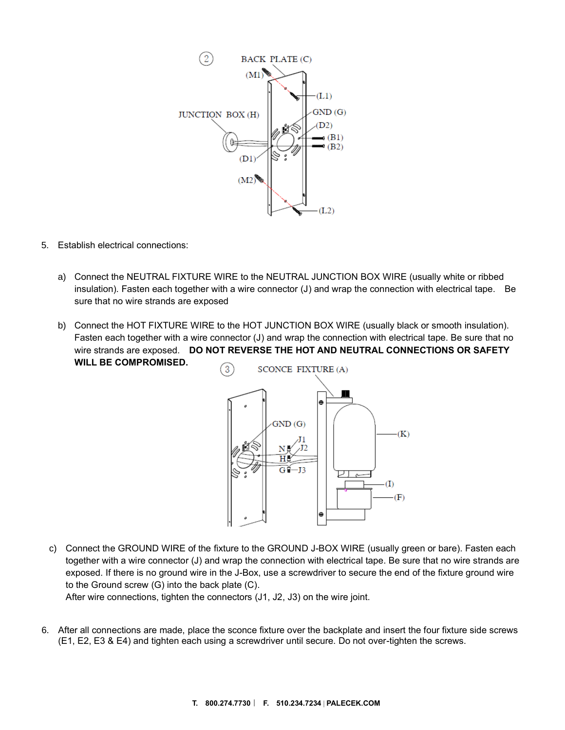

- 5. Establish electrical connections:
	- a) Connect the NEUTRAL FIXTURE WIRE to the NEUTRAL JUNCTION BOX WIRE (usually white or ribbed insulation). Fasten each together with a wire connector (J) and wrap the connection with electrical tape. Be sure that no wire strands are exposed
	- b) Connect the HOT FIXTURE WIRE to the HOT JUNCTION BOX WIRE (usually black or smooth insulation). Fasten each together with a wire connector (J) and wrap the connection with electrical tape. Be sure that no wire strands are exposed. **DO NOT REVERSE THE HOT AND NEUTRAL CONNECTIONS OR SAFETY WILL BE COMPROMISED.**



c) Connect the GROUND WIRE of the fixture to the GROUND J-BOX WIRE (usually green or bare). Fasten each together with a wire connector (J) and wrap the connection with electrical tape. Be sure that no wire strands are exposed. If there is no ground wire in the J-Box, use a screwdriver to secure the end of the fixture ground wire to the Ground screw (G) into the back plate (C).

After wire connections, tighten the connectors (J1, J2, J3) on the wire joint.

6. After all connections are made, place the sconce fixture over the backplate and insert the four fixture side screws (E1, E2, E3 & E4) and tighten each using a screwdriver until secure. Do not over-tighten the screws.